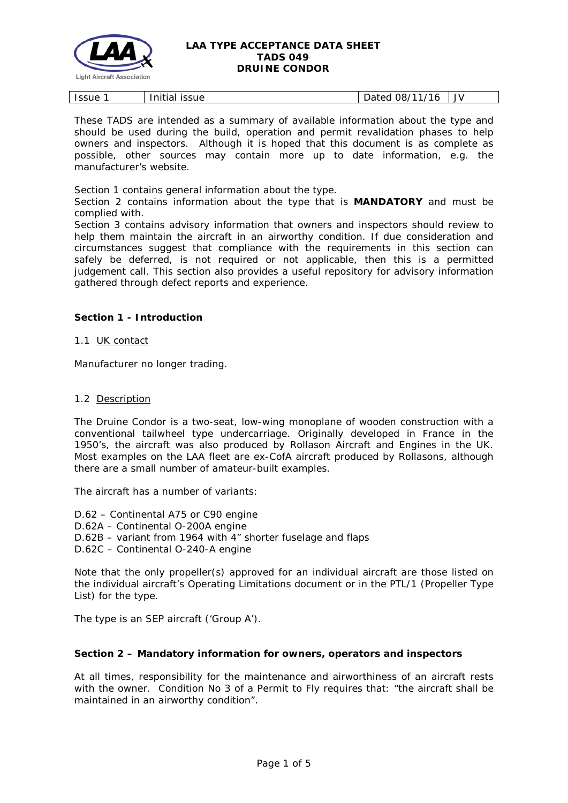

| .<br><b>Issue</b><br><b>ISSUE</b><br>Initial<br>.<br>. | ,,,,<br>שנ.<br>hatei<br>Dalcu | JV |
|--------------------------------------------------------|-------------------------------|----|
|--------------------------------------------------------|-------------------------------|----|

These TADS are intended as a summary of available information about the type and should be used during the build, operation and permit revalidation phases to help owners and inspectors. Although it is hoped that this document is as complete as possible, other sources may contain more up to date information, e.g. the manufacturer's website.

Section 1 contains general information about the type.

Section 2 contains information about the type that is **MANDATORY** and must be complied with.

Section 3 contains advisory information that owners and inspectors should review to help them maintain the aircraft in an airworthy condition. If due consideration and circumstances suggest that compliance with the requirements in this section can safely be deferred, is not required or not applicable, then this is a permitted judgement call. This section also provides a useful repository for advisory information gathered through defect reports and experience.

# **Section 1 - Introduction**

1.1 UK contact

Manufacturer no longer trading.

### 1.2 Description

The Druine Condor is a two-seat, low-wing monoplane of wooden construction with a conventional tailwheel type undercarriage. Originally developed in France in the 1950's, the aircraft was also produced by Rollason Aircraft and Engines in the UK. Most examples on the LAA fleet are ex-CofA aircraft produced by Rollasons, although there are a small number of amateur-built examples.

The aircraft has a number of variants:

D.62 – Continental A75 or C90 engine D.62A – Continental O-200A engine D.62B – variant from 1964 with 4" shorter fuselage and flaps D.62C – Continental O-240-A engine

Note that the only propeller(s) approved for an individual aircraft are those listed on the individual aircraft's Operating Limitations document or in the PTL/1 (Propeller Type List) for the type.

The type is an SEP aircraft ('Group A').

# **Section 2 – Mandatory information for owners, operators and inspectors**

At all times, responsibility for the maintenance and airworthiness of an aircraft rests with the owner. Condition No 3 of a Permit to Fly requires that: *"the aircraft shall be maintained in an airworthy condition".*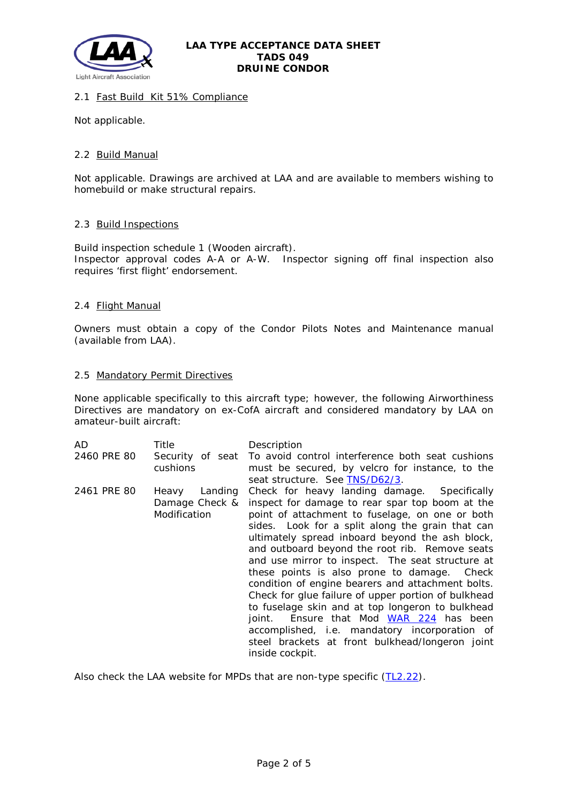

# 2.1 Fast Build Kit 51% Compliance

Not applicable.

### 2.2 Build Manual

Not applicable. Drawings are archived at LAA and are available to members wishing to homebuild or make structural repairs.

### 2.3 Build Inspections

Build inspection schedule 1 (Wooden aircraft). Inspector approval codes A-A or A-W. Inspector signing off final inspection also requires 'first flight' endorsement.

### 2.4 Flight Manual

Owners must obtain a copy of the Condor Pilots Notes and Maintenance manual (available from LAA).

#### 2.5 Mandatory Permit Directives

None applicable specifically to this aircraft type; however, the following Airworthiness Directives are mandatory on ex-CofA aircraft and considered mandatory by LAA on amateur-built aircraft:

| AD          | Title                                              | Description                                                                                                                                                                                                                                                                                                                                                                                                                                                                                                                                                                                                                                                                                                                                         |
|-------------|----------------------------------------------------|-----------------------------------------------------------------------------------------------------------------------------------------------------------------------------------------------------------------------------------------------------------------------------------------------------------------------------------------------------------------------------------------------------------------------------------------------------------------------------------------------------------------------------------------------------------------------------------------------------------------------------------------------------------------------------------------------------------------------------------------------------|
| 2460 PRE 80 | cushions                                           | Security of seat To avoid control interference both seat cushions<br>must be secured, by velcro for instance, to the<br>seat structure. See TNS/D62/3.                                                                                                                                                                                                                                                                                                                                                                                                                                                                                                                                                                                              |
| 2461 PRE 80 | Landing<br>Heavy<br>Damage Check &<br>Modification | Check for heavy landing damage. Specifically<br>inspect for damage to rear spar top boom at the<br>point of attachment to fuselage, on one or both<br>sides. Look for a split along the grain that can<br>ultimately spread inboard beyond the ash block,<br>and outboard beyond the root rib. Remove seats<br>and use mirror to inspect. The seat structure at<br>these points is also prone to damage. Check<br>condition of engine bearers and attachment bolts.<br>Check for glue failure of upper portion of bulkhead<br>to fuselage skin and at top longeron to bulkhead<br>Ensure that Mod WAR 224 has been<br>joint.<br>accomplished, i.e. mandatory incorporation of<br>steel brackets at front bulkhead/longeron joint<br>inside cockpit. |

Also check the LAA website for MPDs that are non-type specific [\(TL2.22\)](http://www.lightaircraftassociation.co.uk/engineering/TechnicalLeaflets/Operating%20An%20Aircraft/TL%202.22%20non-type%20specific%20MPDs.pdf).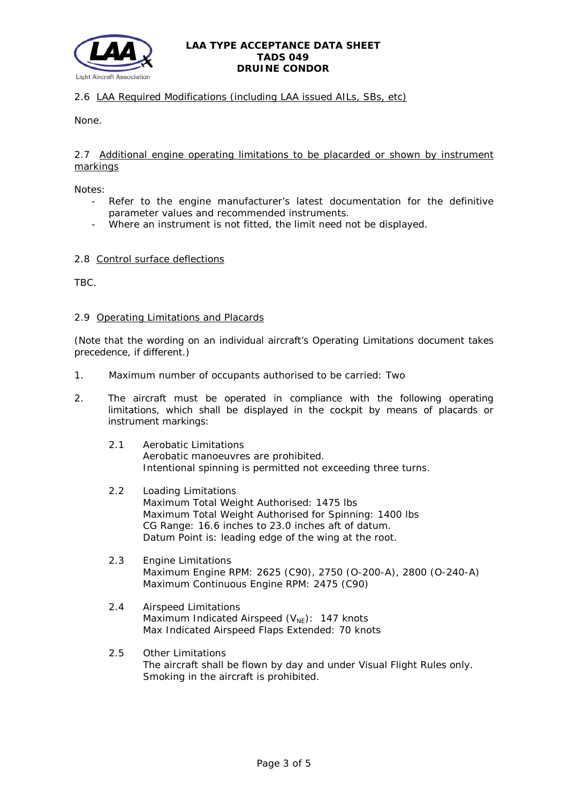

# 2.6 LAA Required Modifications (including LAA issued AILs, SBs, etc)

None.

## 2.7 Additional engine operating limitations to be placarded or shown by instrument markings

Notes:

- Refer to the engine manufacturer's latest documentation for the definitive parameter values and recommended instruments.
- Where an instrument is not fitted, the limit need not be displayed.

### 2.8 Control surface deflections

TBC.

### 2.9 Operating Limitations and Placards

(Note that the wording on an individual aircraft's Operating Limitations document takes precedence, if different.)

- 1. Maximum number of occupants authorised to be carried: Two
- 2. The aircraft must be operated in compliance with the following operating limitations, which shall be displayed in the cockpit by means of placards or instrument markings:
	- 2.1 Aerobatic Limitations Aerobatic manoeuvres are prohibited. Intentional spinning is permitted not exceeding three turns.
	- 2.2 Loading Limitations Maximum Total Weight Authorised: 1475 lbs Maximum Total Weight Authorised for Spinning: 1400 lbs CG Range: 16.6 inches to 23.0 inches aft of datum. Datum Point is: leading edge of the wing at the root.
	- 2.3 Engine Limitations Maximum Engine RPM: 2625 (C90), 2750 (O-200-A), 2800 (O-240-A) Maximum Continuous Engine RPM: 2475 (C90)
	- 2.4 Airspeed Limitations Maximum Indicated Airspeed  $(V_{NE})$ : 147 knots Max Indicated Airspeed Flaps Extended: 70 knots
	- 2.5 Other Limitations The aircraft shall be flown by day and under Visual Flight Rules only. Smoking in the aircraft is prohibited.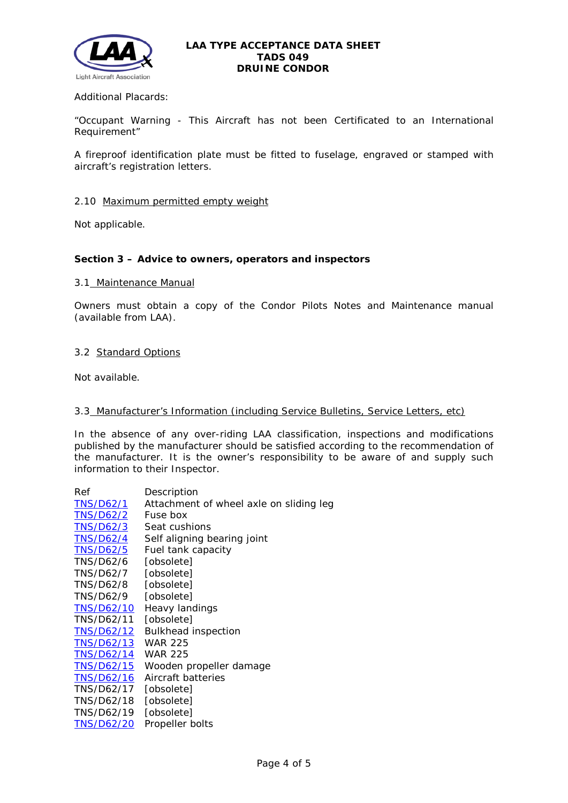

Additional Placards:

"Occupant Warning - This Aircraft has not been Certificated to an International Requirement"

A fireproof identification plate must be fitted to fuselage, engraved or stamped with aircraft's registration letters.

#### 2.10 Maximum permitted empty weight

Not applicable.

### **Section 3 – Advice to owners, operators and inspectors**

#### 3.1 Maintenance Manual

Owners must obtain a copy of the Condor Pilots Notes and Maintenance manual (available from LAA).

## 3.2 Standard Options

Not available.

#### 3.3 Manufacturer's Information (including Service Bulletins, Service Letters, etc)

In the absence of any over-riding LAA classification, inspections and modifications published by the manufacturer should be satisfied according to the recommendation of the manufacturer. It is the owner's responsibility to be aware of and supply such information to their Inspector.

| Ref               | Description                             |
|-------------------|-----------------------------------------|
| <b>TNS/D62/1</b>  | Attachment of wheel axle on sliding leg |
| TNS/D62/2         | Fuse box                                |
| <b>TNS/D62/3</b>  | Seat cushions                           |
| <b>TNS/D62/4</b>  | Self aligning bearing joint             |
| <b>TNS/D62/5</b>  | Fuel tank capacity                      |
| TNS/D62/6         | [obsolete]                              |
| <b>TNS/D62/7</b>  | [obsolete]                              |
| TNS/D62/8         | [obsolete]                              |
| TNS/D62/9         | [obsolete]                              |
| TNS/D62/10        | Heavy landings                          |
| TNS/D62/11        | [obsolete]                              |
| TNS/D62/12        | <b>Bulkhead inspection</b>              |
| TNS/D62/13        | <b>WAR 225</b>                          |
| TNS/D62/14        | <b>WAR 225</b>                          |
| <b>TNS/D62/15</b> | Wooden propeller damage                 |
| TNS/D62/16        | Aircraft batteries                      |
| TNS/D62/17        | [obsolete]                              |
| TNS/D62/18        | [obsolete]                              |
| TNS/D62/19        | [obsolete]                              |
| <b>TNS/D62/20</b> | Propeller bolts                         |
|                   |                                         |